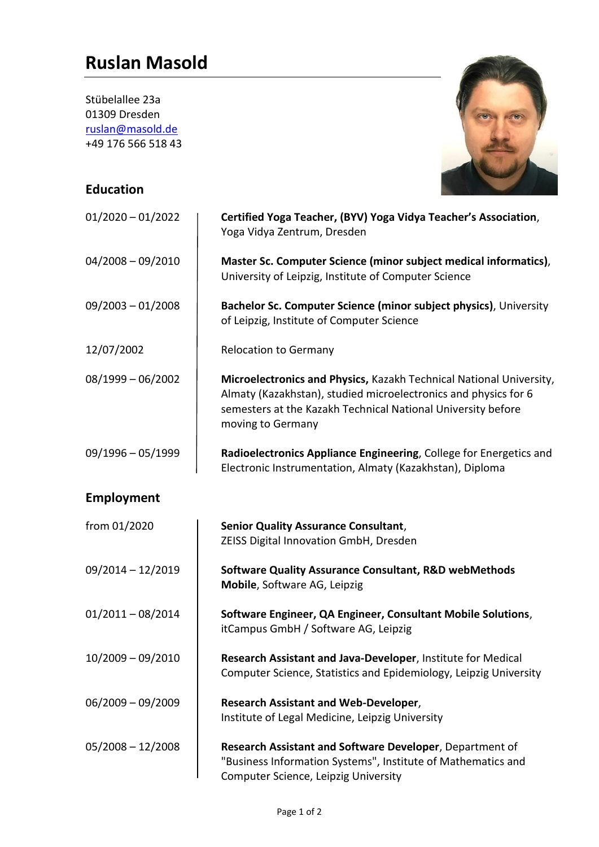## **Ruslan Masold**

| Stübelallee 23a<br>01309 Dresden<br>ruslan@masold.de<br>+49 176 566 518 43<br><b>Education</b> |                                                                                                                                                                                                                             |
|------------------------------------------------------------------------------------------------|-----------------------------------------------------------------------------------------------------------------------------------------------------------------------------------------------------------------------------|
|                                                                                                |                                                                                                                                                                                                                             |
| $01/2020 - 01/2022$                                                                            | Certified Yoga Teacher, (BYV) Yoga Vidya Teacher's Association,<br>Yoga Vidya Zentrum, Dresden                                                                                                                              |
| $04/2008 - 09/2010$                                                                            | Master Sc. Computer Science (minor subject medical informatics),<br>University of Leipzig, Institute of Computer Science                                                                                                    |
| $09/2003 - 01/2008$                                                                            | Bachelor Sc. Computer Science (minor subject physics), University<br>of Leipzig, Institute of Computer Science                                                                                                              |
| 12/07/2002                                                                                     | <b>Relocation to Germany</b>                                                                                                                                                                                                |
| $08/1999 - 06/2002$                                                                            | Microelectronics and Physics, Kazakh Technical National University,<br>Almaty (Kazakhstan), studied microelectronics and physics for 6<br>semesters at the Kazakh Technical National University before<br>moving to Germany |
| $09/1996 - 05/1999$                                                                            | Radioelectronics Appliance Engineering, College for Energetics and<br>Electronic Instrumentation, Almaty (Kazakhstan), Diploma                                                                                              |
| <b>Employment</b>                                                                              |                                                                                                                                                                                                                             |

All May

| from 01/2020        | <b>Senior Quality Assurance Consultant,</b>                                                                                                                      |
|---------------------|------------------------------------------------------------------------------------------------------------------------------------------------------------------|
|                     | <b>ZEISS Digital Innovation GmbH, Dresden</b>                                                                                                                    |
| $09/2014 - 12/2019$ | <b>Software Quality Assurance Consultant, R&amp;D webMethods</b><br>Mobile, Software AG, Leipzig                                                                 |
| $01/2011 - 08/2014$ | Software Engineer, QA Engineer, Consultant Mobile Solutions,<br>itCampus GmbH / Software AG, Leipzig                                                             |
| $10/2009 - 09/2010$ | Research Assistant and Java-Developer, Institute for Medical<br>Computer Science, Statistics and Epidemiology, Leipzig University                                |
| $06/2009 - 09/2009$ | <b>Research Assistant and Web-Developer,</b>                                                                                                                     |
|                     | Institute of Legal Medicine, Leipzig University                                                                                                                  |
| $05/2008 - 12/2008$ | Research Assistant and Software Developer, Department of<br>"Business Information Systems", Institute of Mathematics and<br>Computer Science, Leipzig University |